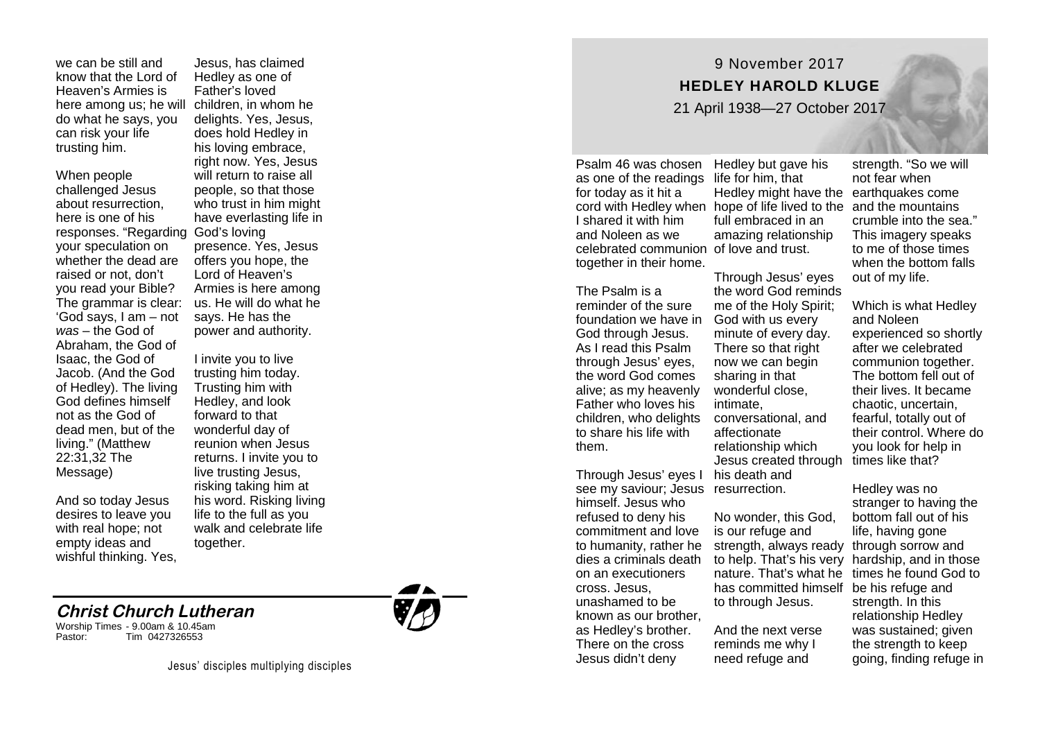we can be still and know that the Lord of Heaven 's Armies is do what he says, you can risk your life trusting him.

When people challenged Jesus about resurrection, here is one of his responses. "Regarding God 's loving your speculation on whether the dead are raised or not, don ' t you read your Bible? The grammar is clear: 'God says, I am – not *was* – the God of Abraham, the God of Isaac, the God of Jacob. (And the God of Hedley). The living God defines himself not as the God of dead men, but of the living. " (Matthew 22:31,32 The Message)

And so today Jesus desires to leave you with real hope; not empty ideas and wishful thinking. Yes,

here among us; he will children, in whom he Jesus, has claimed Hedley as one of Father 's loved delights. Yes, Jesus, does hold Hedley in his loving embrace, right now. Yes, Jesus will return to raise all people, so that those who trust in him might have everlasting life in presence. Yes, Jesus offers you hope, the Lord of Heaven ' s Armies is here among us. He will do what he says. He has the power and authority.

> I invite you to live trusting him today. Trusting him with Hedley, and look forward to that wonderful day of reunion when Jesus returns. I invite you to live trusting Jesus, risking taking him at his word. Risking living life to the full as you walk and celebrate life together.

## **Christ Church Lutheran**

Worship Times - 9.00am & 10.45am Pastor: Tim 0427326553



## 9 November 2017 **HEDLEY HAROLD KLUGE** 21 April 1938 —27 October 2017

Psalm 46 was chosen as one of the readings life for him, that for today as it hit a I shared it with him and Noleen as we celebrated communion of love and trust. together in their home.

The Psalm is a reminder of the sure foundation we have in God with us every God through Jesus. As I read this Psalm through Jesus ' eyes, the word God comes alive; as my heavenly Father who loves his to share his life with them.

Through Jesus ' eyes I his death and see my saviour; Jesus resurrection. himself. Jesus who refused to deny his commitment and love to humanity, rather he dies a criminals death on an executioners cross. Jesus, unashamed to be known as our brother, as Hedley 's brother. There on the cross Jesus didn 't deny

cord with Hedley when hope of life lived to the and the mountains Hedley but gave his Hedley might have the earthquakes come full embraced in an amazing relationship

children, who delights conversational, and Through Jesus ' eyes the word God reminds me of the Holy Spirit; minute of every day. There so that right now we can begin sharing in that wonderful close, intimate, affectionate relationship which Jesus created through times like that?

> No wonder, this God, is our refuge and strength, always ready through sorrow and to help. That's his very hardship, and in those nature. That 's what he times he found God to has committed himself be his refuge and to through Jesus.

And the next verse reminds me why I need refuge and

strength. "So we will not fear when crumble into the sea. " This imagery speaks to me of those times when the bottom falls out of my life.

Which is what Hedley and Noleen experienced so shortly after we celebrated communion together. The bottom fell out of their lives. It became chaotic, uncertain, fearful, totally out of their control. Where do you look for help in

Hedley was no stranger to having the bottom fall out of his life, having gone strength. In this relationship Hedley was sustained; given the strength to keep going, finding refuge in

Jesus' disciples multiplying disciples